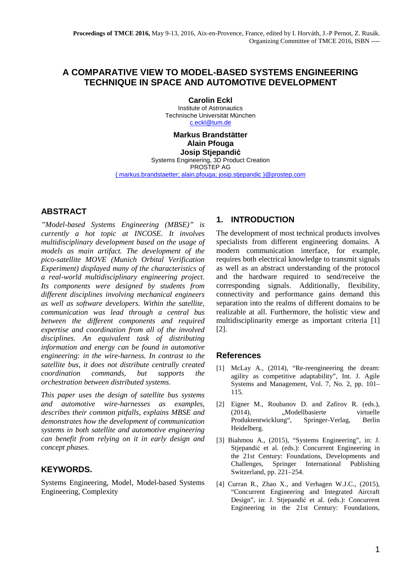# **A COMPARATIVE VIEW TO MODEL-BASED SYSTEMS ENGINEERING TECHNIQUE IN SPACE AND AUTOMOTIVE DEVELOPMENT**

**Carolin Eckl**  Institute of Astronautics Technische Universität München c.eckl@tum.de

**Markus Brandstätter Alain Pfouga Josip Stjepandić** Systems Engineering, 3D Product Creation PROSTEP AG

{ markus.brandstaetter; alain.pfouga; josip.stjepandic }@prostep.com

### **ABSTRACT**

*"Model-based Systems Engineering (MBSE)" is currently a hot topic at INCOSE. It involves multidisciplinary development based on the usage of models as main artifact. The development of the pico-satellite MOVE (Munich Orbital Verification Experiment) displayed many of the characteristics of a real-world multidisciplinary engineering project. Its components were designed by students from different disciplines involving mechanical engineers as well as software developers. Within the satellite, communication was lead through a central bus between the different components and required expertise and coordination from all of the involved disciplines. An equivalent task of distributing information and energy can be found in automotive engineering: in the wire-harness. In contrast to the satellite bus, it does not distribute centrally created coordination commands, but supports the orchestration between distributed systems.* 

*This paper uses the design of satellite bus systems and automotive wire-harnesses as examples, describes their common pitfalls, explains MBSE and demonstrates how the development of communication systems in both satellite and automotive engineering can benefit from relying on it in early design and concept phases.* 

## **KEYWORDS.**

Systems Engineering, Model, Model-based Systems Engineering, Complexity

### **1. INTRODUCTION**

The development of most technical products involves specialists from different engineering domains. A modern communication interface, for example, requires both electrical knowledge to transmit signals as well as an abstract understanding of the protocol and the hardware required to send/receive the corresponding signals. Additionally, flexibility, connectivity and performance gains demand this separation into the realms of different domains to be realizable at all. Furthermore, the holistic view and multidisciplinarity emerge as important criteria [1] [2].

### **References**

- [1] McLay A., (2014), "Re-reengineering the dream: agility as competitive adaptability", Int. J. Agile Systems and Management, Vol. 7, No. 2, pp. 101– 115.
- [2] Eigner M., Roubanov D. and Zafirov R. (eds.), (2014), "Modellbasierte virtuelle Produktentwicklung", Springer-Verlag, Berlin Heidelberg.
- [3] Biahmou A., (2015), "Systems Engineering", in: J. Stjepandić et al. (eds.): Concurrent Engineering in the 21st Century: Foundations, Developments and Challenges, Springer International Publishing Switzerland, pp. 221–254.
- [4] Curran R., Zhao X., and Verhagen W.J.C., (2015), "Concurrent Engineering and Integrated Aircraft Design", in: J. Stjepandić et al. (eds.): Concurrent Engineering in the 21st Century: Foundations,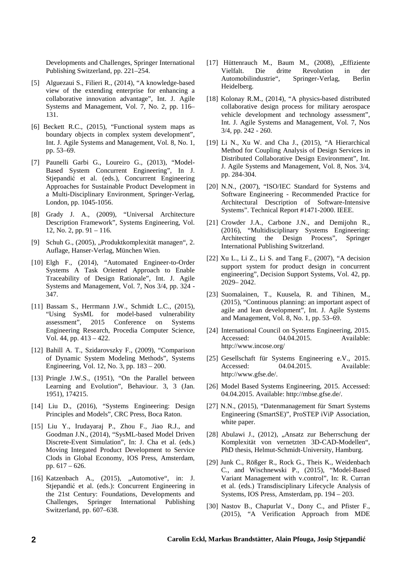Developments and Challenges, Springer International Publishing Switzerland, pp. 221–254.

- [5] Alguezaui S., Filieri R., (2014), "A knowledge-based view of the extending enterprise for enhancing a collaborative innovation advantage", Int. J. Agile Systems and Management, Vol. 7, No. 2, pp. 116– 131.
- [6] Beckett R.C., (2015), "Functional system maps as boundary objects in complex system development", Int. J. Agile Systems and Management, Vol. 8, No. 1, pp. 53–69.
- [7] Paunelli Garbi G., Loureiro G., (2013), "Model-Based System Concurrent Engineering", In J. Stjepandić et al. (eds.), Concurrent Engineering Approaches for Sustainable Product Development in a Multi-Disciplinary Environment, Springer-Verlag, London, pp. 1045-1056.
- [8] Grady J. A., (2009), "Universal Architecture Description Framework", Systems Engineering, Vol. 12, No. 2, pp. 91 – 116.
- [9] Schuh G., (2005), "Produktkomplexität managen", 2. Auflage, Hanser-Verlag, München Wien.
- [10] Elgh F., (2014), "Automated Engineer-to-Order Systems A Task Oriented Approach to Enable Traceability of Design Rationale", Int. J. Agile Systems and Management, Vol. 7, Nos 3/4, pp. 324 - 347.
- [11] Bassam S., Herrmann J.W., Schmidt L.C., (2015), "Using SysML for model-based vulnerability assessment", 2015 Conference on Systems Engineering Research, Procedia Computer Science, Vol. 44, pp. 413 – 422.
- [12] Bahill A. T., Szidarovszky F., (2009), "Comparison of Dynamic System Modeling Methods", Systems Engineering, Vol. 12, No. 3, pp. 183 – 200.
- [13] Pringle J.W.S., (1951), "On the Parallel between Learning and Evolution", Behaviour. 3, 3 (Jan. 1951), 174215.
- [14] Liu D., (2016), "Systems Engineering: Design Principles and Models", CRC Press, Boca Raton.
- [15] Liu Y., Irudayaraj P., Zhou F., Jiao R.J., and Goodman J.N., (2014), "SysML-based Model Driven Discrete-Event Simulation", In: J. Cha et al. (eds.) Moving Integated Product Development to Service Clods in Global Economy, IOS Press, Amsterdam, pp. 617 – 626.
- [16] Katzenbach A., (2015), "Automotive", in: J. Stjepandić et al. (eds.): Concurrent Engineering in the 21st Century: Foundations, Developments and Challenges, Springer International Publishing Switzerland, pp. 607–638.
- [17] Hüttenrauch M., Baum M., (2008), "Effiziente Vielfalt. Die dritte Revolution in der Automobilindustrie", Springer-Verlag, Berlin Heidelberg.
- [18] Kolonay R.M., (2014), "A physics-based distributed collaborative design process for military aerospace vehicle development and technology assessment", Int. J. Agile Systems and Management, Vol. 7, Nos 3/4, pp. 242 - 260.
- [19] Li N., Xu W. and Cha J., (2015), "A Hierarchical Method for Coupling Analysis of Design Services in Distributed Collaborative Design Environment", Int. J. Agile Systems and Management, Vol. 8, Nos. 3/4, pp. 284-304.
- [20] N.N., (2007), "ISO/IEC Standard for Systems and Software Engineering - Recommended Practice for Architectural Description of Software-Intensive Systems". Technical Report #1471-2000. IEEE.
- [21] Crowder J.A., Carbone J.N., and Demijohn R., (2016), "Multidisciplinary Systems Engineering: Architecting the Design Process", Springer International Publishing Switzerland.
- [22] Xu L., Li Z., Li S. and Tang F., (2007), "A decision support system for product design in concurrent engineering", Decision Support Systems, Vol. 42, pp. 2029– 2042.
- [23] Suomalainen, T., Kuusela, R. and Tihinen, M., (2015), "Continuous planning: an important aspect of agile and lean development", Int. J. Agile Systems and Management, Vol. 8, No. 1, pp. 53–69.
- [24] International Council on Systems Engineering, 2015. Accessed: 04.04.2015. Available: http://www.incose.org/
- [25] Gesellschaft für Systems Engineering e.V., 2015. Accessed: 04.04.2015. Available: http://www.gfse.de/.
- [26] Model Based Systems Engineering, 2015. Accessed: 04.04.2015. Available: http://mbse.gfse.de/.
- [27] N.N., (2015), "Datenmanagement für Smart Systems Engineering (SmartSE)", ProSTEP iViP Association, white paper.
- [28] Abulawi J., (2012), "Ansatz zur Beherrschung der Komplexität von vernetzten 3D-CAD-Modellen", PhD thesis, Helmut-Schmidt-University, Hamburg.
- [29] Junk C., Rößger R., Rock G., Theis K., Weidenbach C., and Wischnewski P., (2015), "Model-Based Variant Management with v.control", In: R. Curran et al. (eds.) Transdisciplinary Lifecycle Analysis of Systems, IOS Press, Amsterdam, pp. 194 – 203.
- [30] Nastov B., Chapurlat V., Dony C., and Pfister F., (2015), "A Verification Approach from MDE